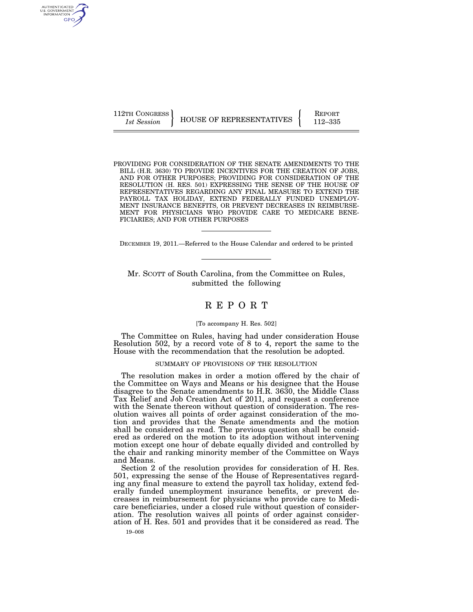AUTHENTICATED U.S. GOVERNMENT GPO

112TH CONGRESS **REPORT 112TH CONGRESS** HOUSE OF REPRESENTATIVES **FULL** 112–335

PROVIDING FOR CONSIDERATION OF THE SENATE AMENDMENTS TO THE BILL (H.R. 3630) TO PROVIDE INCENTIVES FOR THE CREATION OF JOBS, AND FOR OTHER PURPOSES; PROVIDING FOR CONSIDERATION OF THE RESOLUTION (H. RES. 501) EXPRESSING THE SENSE OF THE HOUSE OF REPRESENTATIVES REGARDING ANY FINAL MEASURE TO EXTEND THE PAYROLL TAX HOLIDAY, EXTEND FEDERALLY FUNDED UNEMPLOY-MENT INSURANCE BENEFITS, OR PREVENT DECREASES IN REIMBURSE-MENT FOR PHYSICIANS WHO PROVIDE CARE TO MEDICARE BENE-FICIARIES; AND FOR OTHER PURPOSES

DECEMBER 19, 2011.—Referred to the House Calendar and ordered to be printed

Mr. SCOTT of South Carolina, from the Committee on Rules, submitted the following

# R E P O R T

## [To accompany H. Res. 502]

The Committee on Rules, having had under consideration House Resolution 502, by a record vote of 8 to 4, report the same to the House with the recommendation that the resolution be adopted.

## SUMMARY OF PROVISIONS OF THE RESOLUTION

The resolution makes in order a motion offered by the chair of the Committee on Ways and Means or his designee that the House disagree to the Senate amendments to H.R. 3630, the Middle Class Tax Relief and Job Creation Act of 2011, and request a conference with the Senate thereon without question of consideration. The resolution waives all points of order against consideration of the motion and provides that the Senate amendments and the motion shall be considered as read. The previous question shall be considered as ordered on the motion to its adoption without intervening motion except one hour of debate equally divided and controlled by the chair and ranking minority member of the Committee on Ways and Means.

Section 2 of the resolution provides for consideration of H. Res. 501, expressing the sense of the House of Representatives regarding any final measure to extend the payroll tax holiday, extend federally funded unemployment insurance benefits, or prevent decreases in reimbursement for physicians who provide care to Medicare beneficiaries, under a closed rule without question of consideration. The resolution waives all points of order against consideration of H. Res. 501 and provides that it be considered as read. The

19–008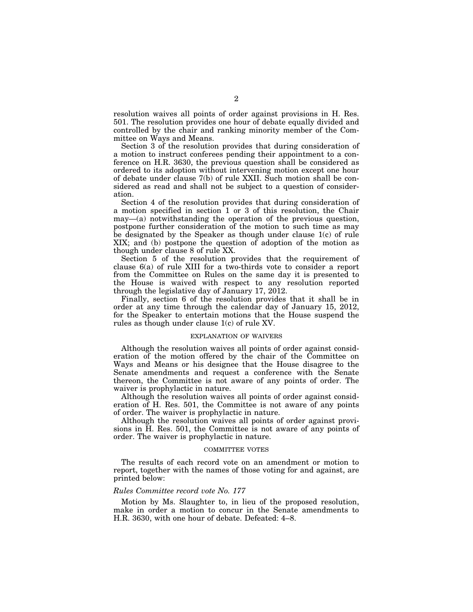resolution waives all points of order against provisions in H. Res. 501. The resolution provides one hour of debate equally divided and controlled by the chair and ranking minority member of the Committee on Ways and Means.

Section 3 of the resolution provides that during consideration of a motion to instruct conferees pending their appointment to a conference on H.R. 3630, the previous question shall be considered as ordered to its adoption without intervening motion except one hour of debate under clause 7(b) of rule XXII. Such motion shall be considered as read and shall not be subject to a question of consideration.

Section 4 of the resolution provides that during consideration of a motion specified in section 1 or 3 of this resolution, the Chair may—(a) notwithstanding the operation of the previous question, postpone further consideration of the motion to such time as may be designated by the Speaker as though under clause 1(c) of rule XIX; and (b) postpone the question of adoption of the motion as though under clause 8 of rule XX.

Section 5 of the resolution provides that the requirement of clause 6(a) of rule XIII for a two-thirds vote to consider a report from the Committee on Rules on the same day it is presented to the House is waived with respect to any resolution reported through the legislative day of January 17, 2012.

Finally, section 6 of the resolution provides that it shall be in order at any time through the calendar day of January 15, 2012, for the Speaker to entertain motions that the House suspend the rules as though under clause 1(c) of rule XV.

## EXPLANATION OF WAIVERS

Although the resolution waives all points of order against consideration of the motion offered by the chair of the Committee on Ways and Means or his designee that the House disagree to the Senate amendments and request a conference with the Senate thereon, the Committee is not aware of any points of order. The waiver is prophylactic in nature.

Although the resolution waives all points of order against consideration of H. Res. 501, the Committee is not aware of any points of order. The waiver is prophylactic in nature.

Although the resolution waives all points of order against provisions in H. Res. 501, the Committee is not aware of any points of order. The waiver is prophylactic in nature.

## COMMITTEE VOTES

The results of each record vote on an amendment or motion to report, together with the names of those voting for and against, are printed below:

#### *Rules Committee record vote No. 177*

Motion by Ms. Slaughter to, in lieu of the proposed resolution, make in order a motion to concur in the Senate amendments to H.R. 3630, with one hour of debate. Defeated: 4–8.